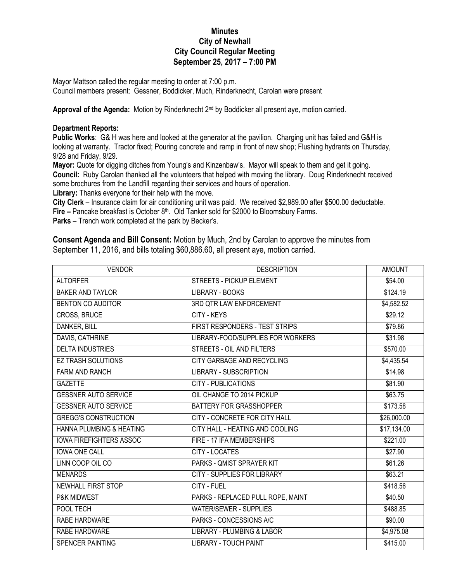## **Minutes City of Newhall City Council Regular Meeting September 25, 2017 – 7:00 PM**

Mayor Mattson called the regular meeting to order at 7:00 p.m. Council members present: Gessner, Boddicker, Much, Rinderknecht, Carolan were present

Approval of the Agenda: Motion by Rinderknecht 2<sup>nd</sup> by Boddicker all present aye, motion carried.

## **Department Reports:**

**Public Works**: G& H was here and looked at the generator at the pavilion. Charging unit has failed and G&H is looking at warranty. Tractor fixed; Pouring concrete and ramp in front of new shop; Flushing hydrants on Thursday, 9/28 and Friday, 9/29.

**Mayor:** Quote for digging ditches from Young's and Kinzenbaw's. Mayor will speak to them and get it going. **Council:** Ruby Carolan thanked all the volunteers that helped with moving the library. Doug Rinderknecht received some brochures from the Landfill regarding their services and hours of operation.

**Library:** Thanks everyone for their help with the move.

**City Clerk** – Insurance claim for air conditioning unit was paid. We received \$2,989.00 after \$500.00 deductable. **Fire –** Pancake breakfast is October 8<sup>th</sup>. Old Tanker sold for \$2000 to Bloomsbury Farms.

**Parks** – Trench work completed at the park by Becker's.

**Consent Agenda and Bill Consent:** Motion by Much, 2nd by Carolan to approve the minutes from September 11, 2016, and bills totaling \$60,886.60, all present aye, motion carried.

| <b>VENDOR</b>                       | <b>DESCRIPTION</b>                    | <b>AMOUNT</b>           |
|-------------------------------------|---------------------------------------|-------------------------|
| <b>ALTORFER</b>                     | <b>STREETS - PICKUP ELEMENT</b>       | \$54.00                 |
| <b>BAKER AND TAYLOR</b>             | LIBRARY - BOOKS                       | \$124.19                |
| <b>BENTON CO AUDITOR</b>            | 3RD QTR LAW ENFORCEMENT               | \$4,582.52              |
| CROSS, BRUCE                        | <b>CITY - KEYS</b>                    | \$29.12                 |
| <b>DANKER, BILL</b>                 | FIRST RESPONDERS - TEST STRIPS        | \$79.86                 |
| DAVIS, CATHRINE                     | LIBRARY-FOOD/SUPPLIES FOR WORKERS     | \$31.98                 |
| <b>DELTA INDUSTRIES</b>             | STREETS - OIL AND FILTERS             | \$570.00                |
| <b>EZ TRASH SOLUTIONS</b>           | CITY GARBAGE AND RECYCLING            | \$4,435.54              |
| <b>FARM AND RANCH</b>               | <b>LIBRARY - SUBSCRIPTION</b>         | \$14.98                 |
| <b>GAZETTE</b>                      | <b>CITY - PUBLICATIONS</b>            | \$81.90                 |
| <b>GESSNER AUTO SERVICE</b>         | OIL CHANGE TO 2014 PICKUP             | \$63.75                 |
| <b>GESSNER AUTO SERVICE</b>         | BATTERY FOR GRASSHOPPER               | \$173.58                |
| <b>GREGG'S CONSTRUCTION</b>         | CITY - CONCRETE FOR CITY HALL         | $\overline{$}26,000.00$ |
| <b>HANNA PLUMBING &amp; HEATING</b> | CITY HALL - HEATING AND COOLING       | \$17,134.00             |
| <b>IOWA FIREFIGHTERS ASSOC</b>      | FIRE - 17 IFA MEMBERSHIPS             | \$221.00                |
| <b>IOWA ONE CALL</b>                | CITY - LOCATES                        | \$27.90                 |
| LINN COOP OIL CO                    | PARKS - QMIST SPRAYER KIT             | \$61.26                 |
| <b>MENARDS</b>                      | CITY - SUPPLIES FOR LIBRARY           | \$63.21                 |
| <b>NEWHALL FIRST STOP</b>           | CITY - FUEL                           | \$418.56                |
| P&K MIDWEST                         | PARKS - REPLACED PULL ROPE, MAINT     | \$40.50                 |
| POOL TECH                           | <b>WATER/SEWER - SUPPLIES</b>         | \$488.85                |
| RABE HARDWARE                       | PARKS - CONCESSIONS A/C               | \$90.00                 |
| <b>RABE HARDWARE</b>                | <b>LIBRARY - PLUMBING &amp; LABOR</b> | \$4,975.08              |
| <b>SPENCER PAINTING</b>             | <b>LIBRARY - TOUCH PAINT</b>          | \$415.00                |